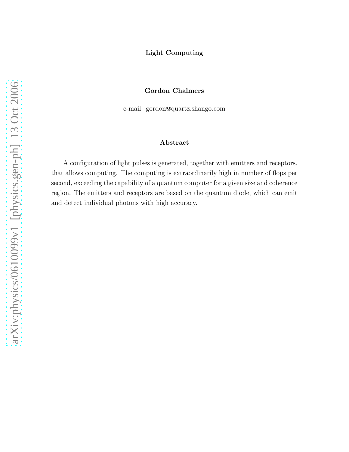## Light Computing

## Gordon Chalmers

e-mail: gordon@quartz.shango.com

## Abstract

A configuration of light pulses is generated, together with emitters and receptors, that allows computing. The computing is extraordinarily high in number of flops per second, exceeding the capability of a quantum computer for a given size and coherence region. The emitters and receptors are based on the quantum diode, which can emit and detect individual photons with high accuracy.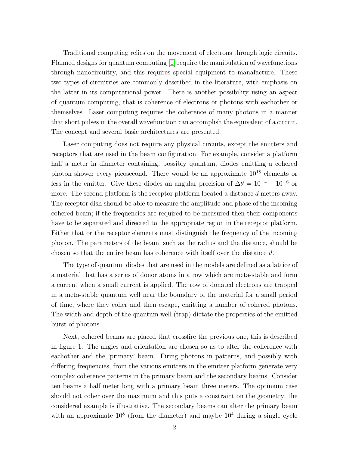Traditional computing relies on the movement of electrons through logic circuits. Planned designs for quantum computing [\[1\]](#page-4-0) require the manipulation of wavefunctions through nanocircuitry, and this requires special equipment to manafacture. These two types of circuitries are commonly described in the literature, with emphasis on the latter in its computational power. There is another possibility using an aspect of quantum computing, that is coherence of electrons or photons with eachother or themselves. Laser computing requires the coherence of many photons in a manner that short pulses in the overall wavefunction can accomplish the equivalent of a circuit. The concept and several basic architectures are presented.

Laser computing does not require any physical circuits, except the emitters and receptors that are used in the beam configuration. For example, consider a platform half a meter in diameter containing, possibly quantum, diodes emitting a cohered photon shower every picosecond. There would be an approximate 10 <sup>18</sup> elements or less in the emitter. Give these diodes an angular precision of  $\Delta\theta = 10^{-4} - 10^{-6}$  or more. The second platform is the receptor platform located a distance d meters away. The receptor dish should be able to measure the amplitude and phase of the incoming cohered beam; if the frequencies are required to be measured then their components have to be separated and directed to the appropriate region in the receptor platform. Either that or the receptor elements must distinguish the frequency of the incoming photon. The parameters of the beam, such as the radius and the distance, should be chosen so that the entire beam has coherence with itself over the distance d.

The type of quantum diodes that are used in the models are defined as a lattice of a material that has a series of donor atoms in a row which are meta-stable and form a current when a small current is applied. The row of donated electrons are trapped in a meta-stable quantum well near the boundary of the material for a small period of time, where they coher and then escape, emitting a number of cohered photons. The width and depth of the quantum well (trap) dictate the properties of the emitted burst of photons.

Next, cohered beams are placed that crossfire the previous one; this is described in figure 1. The angles and orientation are chosen so as to alter the coherence with eachother and the 'primary' beam. Firing photons in patterns, and possibly with differing frequencies, from the various emitters in the emitter platform generate very complex coherence patterns in the primary beam and the secondary beams. Consider ten beams a half meter long with a primary beam three meters. The optimum case should not coher over the maximum and this puts a constraint on the geometry; the considered example is illustrative. The secondary beams can alter the primary beam with an approximate  $10^8$  (from the diameter) and maybe  $10^4$  during a single cycle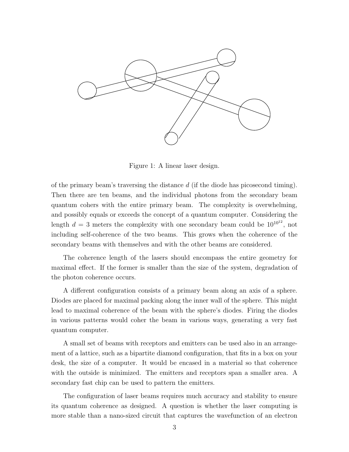

Figure 1: A linear laser design.

of the primary beam's traversing the distance  $d$  (if the diode has picosecond timing). Then there are ten beams, and the individual photons from the secondary beam quantum cohers with the entire primary beam. The complexity is overwhelming, and possibly equals or exceeds the concept of a quantum computer. Considering the length  $d = 3$  meters the complexity with one secondary beam could be  $10^{10^{12}}$ , not including self-coherence of the two beams. This grows when the coherence of the secondary beams with themselves and with the other beams are considered.

The coherence length of the lasers should encompass the entire geometry for maximal effect. If the former is smaller than the size of the system, degradation of the photon coherence occurs.

A different configuration consists of a primary beam along an axis of a sphere. Diodes are placed for maximal packing along the inner wall of the sphere. This might lead to maximal coherence of the beam with the sphere's diodes. Firing the diodes in various patterns would coher the beam in various ways, generating a very fast quantum computer.

A small set of beams with receptors and emitters can be used also in an arrangement of a lattice, such as a bipartite diamond configuration, that fits in a box on your desk, the size of a computer. It would be encased in a material so that coherence with the outside is minimized. The emitters and receptors span a smaller area. A secondary fast chip can be used to pattern the emitters.

The configuration of laser beams requires much accuracy and stability to ensure its quantum coherence as designed. A question is whether the laser computing is more stable than a nano-sized circuit that captures the wavefunction of an electron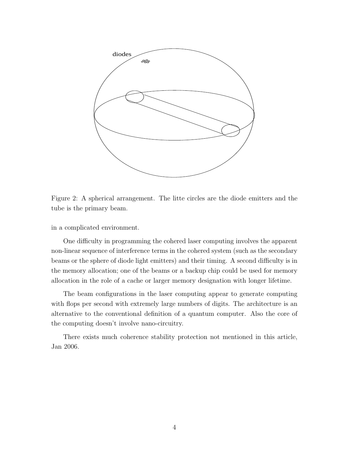

Figure 2: A spherical arrangement. The litte circles are the diode emitters and the tube is the primary beam.

in a complicated environment.

One difficulty in programming the cohered laser computing involves the apparent non-linear sequence of interference terms in the cohered system (such as the secondary beams or the sphere of diode light emitters) and their timing. A second difficulty is in the memory allocation; one of the beams or a backup chip could be used for memory allocation in the role of a cache or larger memory designation with longer lifetime.

The beam configurations in the laser computing appear to generate computing with flops per second with extremely large numbers of digits. The architecture is an alternative to the conventional definition of a quantum computer. Also the core of the computing doesn't involve nano-circuitry.

There exists much coherence stability protection not mentioned in this article, Jan 2006.